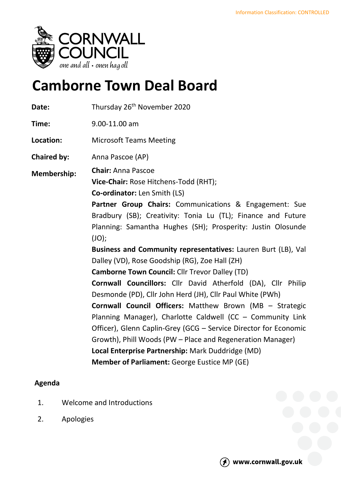

## **Camborne Town Deal Board**

| Thursday 26 <sup>th</sup> November 2020                                                                                                                                                                                                                                                                                                                                                                                                                                                                                                                                                                                                                                                                                                                                                                                                                                                                                              |
|--------------------------------------------------------------------------------------------------------------------------------------------------------------------------------------------------------------------------------------------------------------------------------------------------------------------------------------------------------------------------------------------------------------------------------------------------------------------------------------------------------------------------------------------------------------------------------------------------------------------------------------------------------------------------------------------------------------------------------------------------------------------------------------------------------------------------------------------------------------------------------------------------------------------------------------|
| 9.00-11.00 am                                                                                                                                                                                                                                                                                                                                                                                                                                                                                                                                                                                                                                                                                                                                                                                                                                                                                                                        |
| <b>Microsoft Teams Meeting</b>                                                                                                                                                                                                                                                                                                                                                                                                                                                                                                                                                                                                                                                                                                                                                                                                                                                                                                       |
| Anna Pascoe (AP)                                                                                                                                                                                                                                                                                                                                                                                                                                                                                                                                                                                                                                                                                                                                                                                                                                                                                                                     |
| <b>Chair: Anna Pascoe</b><br>Vice-Chair: Rose Hitchens-Todd (RHT);<br><b>Co-ordinator:</b> Len Smith (LS)<br>Partner Group Chairs: Communications & Engagement: Sue<br>Bradbury (SB); Creativity: Tonia Lu (TL); Finance and Future<br>Planning: Samantha Hughes (SH); Prosperity: Justin Olosunde<br>JO);<br>Business and Community representatives: Lauren Burt (LB), Val<br>Dalley (VD), Rose Goodship (RG), Zoe Hall (ZH)<br><b>Camborne Town Council: Cllr Trevor Dalley (TD)</b><br>Cornwall Councillors: Cllr David Atherfold (DA), Cllr Philip<br>Desmonde (PD), Cllr John Herd (JH), Cllr Paul White (PWh)<br>Cornwall Council Officers: Matthew Brown (MB - Strategic<br>Planning Manager), Charlotte Caldwell (CC - Community Link<br>Officer), Glenn Caplin-Grey (GCG – Service Director for Economic<br>Growth), Phill Woods (PW - Place and Regeneration Manager)<br>Local Enterprise Partnership: Mark Duddridge (MD) |
| <b>Member of Parliament: George Eustice MP (GE)</b>                                                                                                                                                                                                                                                                                                                                                                                                                                                                                                                                                                                                                                                                                                                                                                                                                                                                                  |
|                                                                                                                                                                                                                                                                                                                                                                                                                                                                                                                                                                                                                                                                                                                                                                                                                                                                                                                                      |

## **Agenda**

- 1. Welcome and Introductions
- 2. Apologies